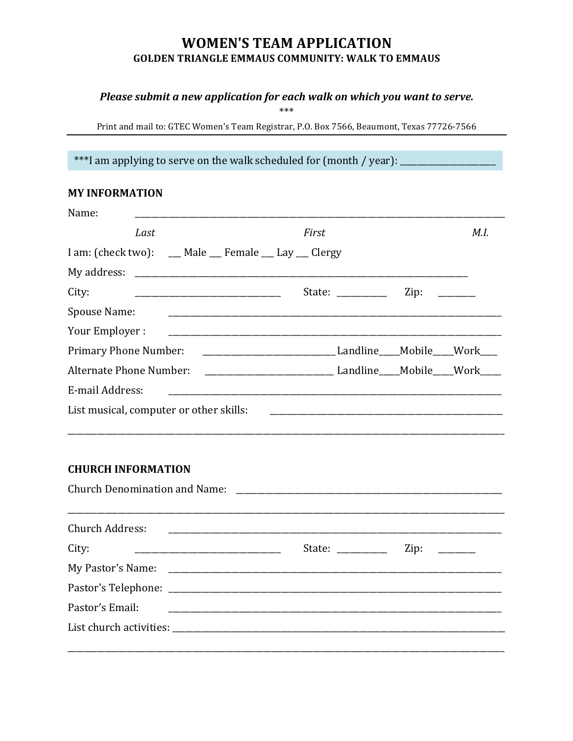# **WOMEN'S TEAM APPLICATION GOLDEN TRIANGLE EMMAUS COMMUNITY: WALK TO EMMAUS**

#### Please submit a new application for each walk on which you want to serve.

 $***$ 

Print and mail to: GTEC Women's Team Registrar, P.O. Box 7566, Beaumont, Texas 77726-7566

\*\*\*I am applying to serve on the walk scheduled for (month / year): \_\_\_\_\_\_\_\_\_

## **MY INFORMATION**

| Name:                                                                                                                                  |                                                                                                                                                                                                                                                                                                                                                                                                                                                  |      |      |
|----------------------------------------------------------------------------------------------------------------------------------------|--------------------------------------------------------------------------------------------------------------------------------------------------------------------------------------------------------------------------------------------------------------------------------------------------------------------------------------------------------------------------------------------------------------------------------------------------|------|------|
| Last                                                                                                                                   | First                                                                                                                                                                                                                                                                                                                                                                                                                                            |      | M.I. |
| I am: (check two): __ Male __ Female __ Lay __ Clergy                                                                                  |                                                                                                                                                                                                                                                                                                                                                                                                                                                  |      |      |
| My address: Note and the My address: Note and the My address: Note and the My address:                                                 |                                                                                                                                                                                                                                                                                                                                                                                                                                                  |      |      |
| City:                                                                                                                                  | State: $\frac{1}{2}$                                                                                                                                                                                                                                                                                                                                                                                                                             | Zip: |      |
| Spouse Name:<br><u> 1989 - Johann Barn, mars ann an t-Amhain ann an t-Amhain an t-Amhain an t-Amhain an t-Amhain an t-Amhain an t-</u> |                                                                                                                                                                                                                                                                                                                                                                                                                                                  |      |      |
| Your Employer :                                                                                                                        |                                                                                                                                                                                                                                                                                                                                                                                                                                                  |      |      |
| <b>Primary Phone Number:</b>                                                                                                           |                                                                                                                                                                                                                                                                                                                                                                                                                                                  |      |      |
|                                                                                                                                        |                                                                                                                                                                                                                                                                                                                                                                                                                                                  |      |      |
| E-mail Address:                                                                                                                        |                                                                                                                                                                                                                                                                                                                                                                                                                                                  |      |      |
| List musical, computer or other skills:                                                                                                |                                                                                                                                                                                                                                                                                                                                                                                                                                                  |      |      |
| <b>CHURCH INFORMATION</b>                                                                                                              |                                                                                                                                                                                                                                                                                                                                                                                                                                                  |      |      |
| <b>Church Address:</b>                                                                                                                 |                                                                                                                                                                                                                                                                                                                                                                                                                                                  |      |      |
| City:                                                                                                                                  | State: $\frac{1}{\sqrt{1-\frac{1}{2}} \cdot \frac{1}{\sqrt{1-\frac{1}{2}} \cdot \frac{1}{\sqrt{1-\frac{1}{2}} \cdot \frac{1}{\sqrt{1-\frac{1}{2}} \cdot \frac{1}{\sqrt{1-\frac{1}{2}} \cdot \frac{1}{\sqrt{1-\frac{1}{2}} \cdot \frac{1}{\sqrt{1-\frac{1}{2}} \cdot \frac{1}{\sqrt{1-\frac{1}{2}} \cdot \frac{1}{\sqrt{1-\frac{1}{2}} \cdot \frac{1}{\sqrt{1-\frac{1}{2}} \cdot \frac{1}{\sqrt{1-\frac{1}{2}} \cdot \frac{1}{\sqrt{1-\frac{1}{2$ | Zip: |      |
| My Pastor's Name: 2008. All Pastor is a substitute of the My Pastor's Name:                                                            |                                                                                                                                                                                                                                                                                                                                                                                                                                                  |      |      |
|                                                                                                                                        |                                                                                                                                                                                                                                                                                                                                                                                                                                                  |      |      |
| Pastor's Email:                                                                                                                        |                                                                                                                                                                                                                                                                                                                                                                                                                                                  |      |      |
|                                                                                                                                        |                                                                                                                                                                                                                                                                                                                                                                                                                                                  |      |      |
|                                                                                                                                        |                                                                                                                                                                                                                                                                                                                                                                                                                                                  |      |      |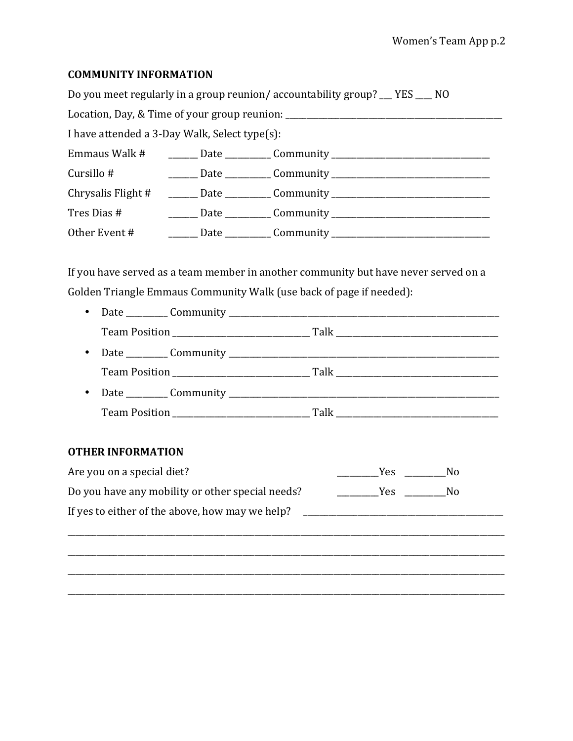#### **COMMUNITY INFORMATION**

|                                                                                  |  | Do you meet regularly in a group reunion/accountability group? __ YES ___ NO     |  |  |  |
|----------------------------------------------------------------------------------|--|----------------------------------------------------------------------------------|--|--|--|
| Location, Day, & Time of your group reunion: ___________________________________ |  |                                                                                  |  |  |  |
| I have attended a 3-Day Walk, Select type(s):                                    |  |                                                                                  |  |  |  |
|                                                                                  |  | Emmaus Walk # ________ Date __________ Community _______________________________ |  |  |  |
| Cursillo #                                                                       |  |                                                                                  |  |  |  |
|                                                                                  |  | Chrysalis Flight # ______ Date _________ Community _____________________________ |  |  |  |
|                                                                                  |  |                                                                                  |  |  |  |
|                                                                                  |  | Other Event # _________ Date __________ Community ______________________________ |  |  |  |

If you have served as a team member in another community but have never served on a Golden Triangle Emmaus Community Walk (use back of page if needed):

- 
- 
- 

### **OTHER INFORMATION**

| Are you on a special diet?                       | Yes        | Nο |
|--------------------------------------------------|------------|----|
| Do you have any mobility or other special needs? | <b>Yes</b> | Nο |
| If yes to either of the above, how may we help?  |            |    |